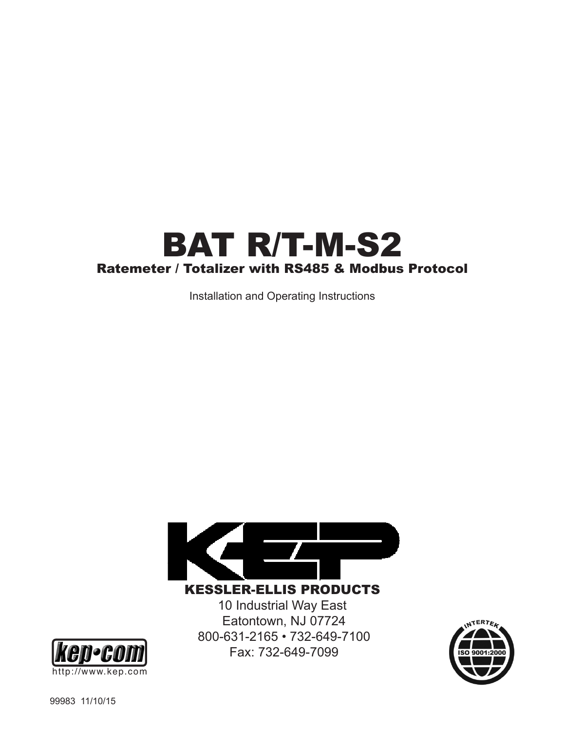# BAT R/T-M-S2 Ratemeter / Totalizer with RS485 & Modbus Protocol

Installation and Operating Instructions



KESSLER-ELLIS PRODUCTS 10 Industrial Way East

Eatontown, NJ 07724 800-631-2165 • 732-649-7100 Fax: 732-649-7099



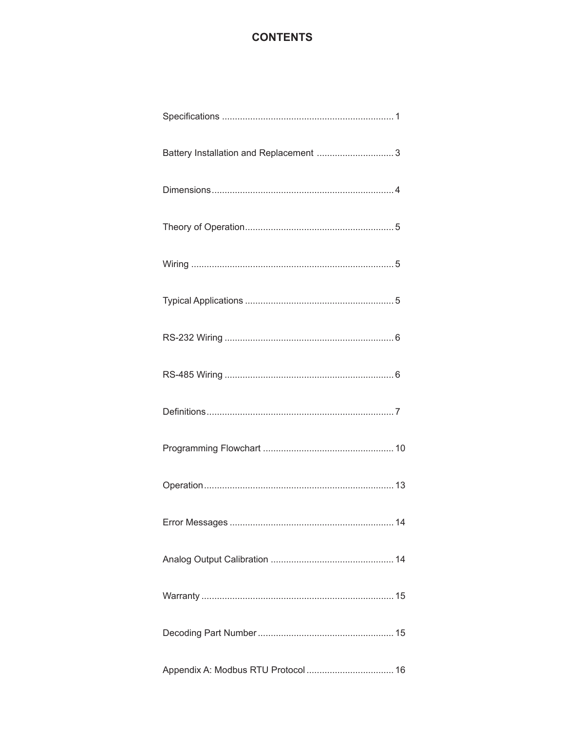## **CONTENTS**

| Battery Installation and Replacement  3 |
|-----------------------------------------|
|                                         |
|                                         |
|                                         |
|                                         |
|                                         |
|                                         |
|                                         |
|                                         |
|                                         |
|                                         |
|                                         |
|                                         |
|                                         |
|                                         |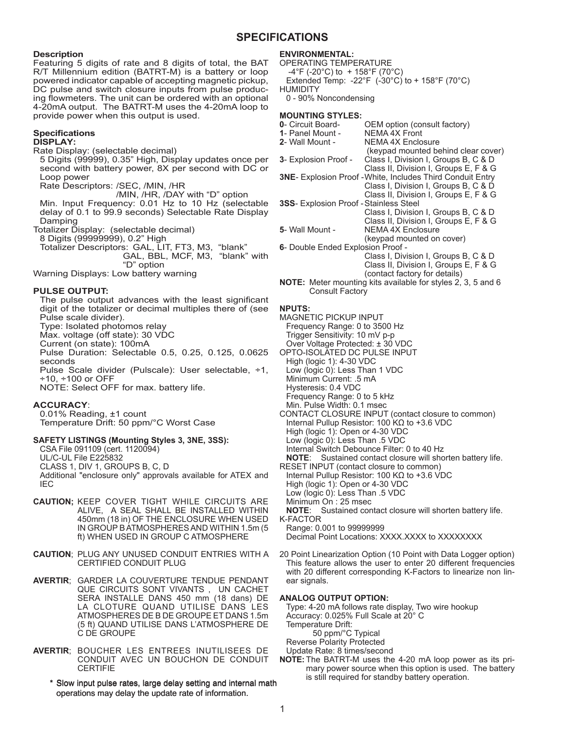#### **SPECIFICATIONS**

#### **Description**

Featuring 5 digits of rate and 8 digits of total, the BAT R/T Millennium edition (BATRT-M) is a battery or loop powered indicator capable of accepting magnetic pickup, DC pulse and switch closure inputs from pulse producing flowmeters. The unit can be ordered with an optional 4-20mA output. The BATRT-M uses the 4-20mA loop to provide power when this output is used.

#### **Specifications**

**DISPLAY:**

Rate Display: (selectable decimal)

5 Digits (99999), 0.35" High, Display updates once per second with battery power, 8X per second with DC or Loop power

Rate Descriptors: /SEC, /MIN, /HR

 /MIN, /HR, /DAY with "D" option Min. Input Frequency: 0.01 Hz to 10 Hz (selectable delay of 0.1 to 99.9 seconds) Selectable Rate Display Damping

Totalizer Display: (selectable decimal)

8 Digits (99999999), 0.2" High

Totalizer Descriptors: GAL, LIT, FT3, M3, "blank" GAL, BBL, MCF, M3, "blank" with "D" option

Warning Displays: Low battery warning

#### **PULSE OUTPUT:**

The pulse output advances with the least significant digit of the totalizer or decimal multiples there of (see Pulse scale divider).

Type: Isolated photomos relay

Max. voltage (off state): 30 VDC

Current (on state): 100mA

Pulse Duration: Selectable 0.5, 0.25, 0.125, 0.0625 seconds

Pulse Scale divider (Pulscale): User selectable, ÷1, ÷10, ÷100 or OFF

NOTE: Select OFF for max. battery life.

#### **ACCURACY**:

0.01% Reading, ±1 count Temperature Drift: 50 ppm/°C Worst Case

#### **SAFETY LISTINGS (Mounting Styles 3, 3NE, 3SS):**

CSA File 091109 (cert. 1120094)

UL/C-UL File E225832

CLASS 1, DIV 1, GROUPS B, C, D

Additional "enclosure only" approvals available for ATEX and IEC

- **CAUTION;** KEEP COVER TIGHT WHILE CIRCUITS ARE ALIVE, A SEAL SHALL BE INSTALLED WITHIN 450mm (18 in) OF THE ENCLOSURE WHEN USED IN GROUP B ATMOSPHERES AND WITHIN 1.5m (5 ft) WHEN USED IN GROUP C ATMOSPHERE
- **CAUTION**; PLUG ANY UNUSED CONDUIT ENTRIES WITH A CERTIFIED CONDUIT PLUG
- **AVERTIR**; GARDER LA COUVERTURE TENDUE PENDANT QUE CIRCUITS SONT VIVANTS , UN CACHET SERA INSTALLE DANS 450 mm (18 dans) DE LA CLOTURE QUAND UTILISE DANS LES ATMOSPHERES DE B DE GROUPE ET DANS 1.5m (5 ft) QUAND UTILISE DANS L'ATMOSPHERE DE C DE GROUPE
- **AVERTIR**; BOUCHER LES ENTREES INUTILISEES DE CONDUIT AVEC UN BOUCHON DE CONDUIT **CERTIFIE** 
	- \* Slow input pulse rates, large delay setting and internal math operations may delay the update rate of information.

#### **ENVIRONMENTAL:**

OPERATING TEMPERATURE  $-4^{\circ}$ F (-20 $^{\circ}$ C) to + 158 $^{\circ}$ F (70 $^{\circ}$ C) Extended Temp: -22°F  $(-30^{\circ}C)$  to + 158°F (70°C) HUMIDITY 0 - 90% Noncondensing

## **MOUNTING STYLES:**<br>**0**- Circuit Board-

- **0EM** option (consult factory)<br>NEMA 4X Front **1**- Panel Mount -<br>**2**- Wall Mount -**NEMA 4X Enclosure**  (keypad mounted behind clear cover) **3**- Explosion Proof - Class I, Division I, Groups B, C & D Class II, Division I, Groups E, F & G **3ΝΕ**- Explosion Proof -White, Includes Third Conduit Entry Class I, Division I, Groups B, C & D Class II, Division I, Groups E, F & G **3SS**- Explosion Proof -Stainless Steel Class I, Division I, Groups B, C & D Class II, Division I, Groups E, F & G **5**- Wall Mount - NEMA 4X Enclosure (keypad mounted on cover) **6**- Double Ended Explosion Proof - Class I, Division I, Groups B, C & D Class II, Division I, Groups E, F & G (contact factory for details)
- **NOTE:** Meter mounting kits available for styles 2, 3, 5 and 6 Consult Factory

#### **NPUTS:**

- MAGNETIC PICKUP INPUT Frequency Range: 0 to 3500 Hz
- Trigger Sensitivity: 10 mV p-p
- Over Voltage Protected: ± 30 VDC
- OPTO-ISOLATED DC PULSE INPUT
- High (logic 1): 4-30 VDC Low (logic 0): Less Than 1 VDC
- Minimum Current: .5 mA
- Hysteresis: 0.4 VDC
- Frequency Range: 0 to 5 kHz
- Min. Pulse Width: 0.1 msec
- CONTACT CLOSURE INPUT (contact closure to common) Internal Pullup Resistor: 100 KΩ to +3.6 VDC High (logic 1): Open or 4-30 VDC
- Low (logic 0): Less Than .5 VDC
- Internal Switch Debounce Filter: 0 to 40 Hz
- **NOTE**: Sustained contact closure will shorten battery life.
- RESET INPUT (contact closure to common)
- Internal Pullup Resistor: 100 KΩ to +3.6 VDC
- High (logic 1): Open or 4-30 VDC
- Low (logic 0): Less Than .5 VDC
- Minimum On : 25 msec

**NOTE**: Sustained contact closure will shorten battery life. K-FACTOR

Range: 0.001 to 99999999

Decimal Point Locations: XXXX.XXXX to XXXXXXXX

20 Point Linearization Option (10 Point with Data Logger option) This feature allows the user to enter 20 different frequencies with 20 different corresponding K-Factors to linearize non linear signals.

#### **ANALOG OUTPUT OPTION:**

Type: 4-20 mA follows rate display, Two wire hookup Accuracy: 0.025% Full Scale at 20° C

Temperature Drift:

50 ppm/°C Typical

Reverse Polarity Protected

Update Rate: 8 times/second

**NOTE:** The BATRT-M uses the 4-20 mA loop power as its primary power source when this option is used. The battery is still required for standby battery operation.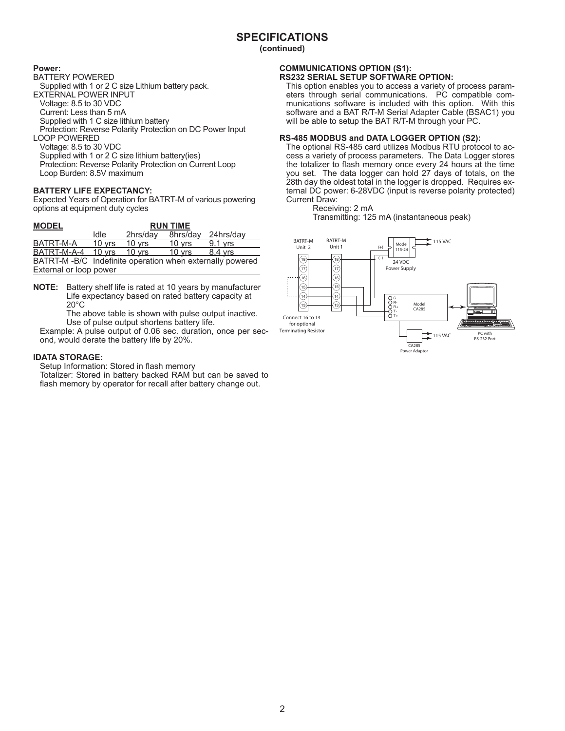**(continued)**

#### **Power:**

BATTERY POWERED

Supplied with 1 or 2 C size Lithium battery pack. EXTERNAL POWER INPUT Voltage: 8.5 to 30 VDC

Current: Less than 5 mA

Supplied with 1 C size lithium battery

Protection: Reverse Polarity Protection on DC Power Input

LOOP POWERED

Voltage: 8.5 to 30 VDC Supplied with 1 or 2 C size lithium battery(ies) Protection: Reverse Polarity Protection on Current Loop Loop Burden: 8.5V maximum

#### **BATTERY LIFE EXPECTANCY:**

Expected Years of Operation for BATRT-M of various powering options at equipment duty cycles

| <b>MODEL</b>                                             |          |                  | <b>RUN TIME</b>  |           |
|----------------------------------------------------------|----------|------------------|------------------|-----------|
|                                                          | Idle     | 2hrs/dav         | 8hrs/day         | 24hrs/dav |
| BATRT-M-A                                                | 10 vrs   | 10 vrs           | $10 \text{ vrs}$ | 9.1 vrs   |
| BATRT-M-A-4                                              | $10$ vrs | $10 \text{ vrs}$ | $10 \text{ vrs}$ | 8.4 vrs   |
| BATRT-M-B/C Indefinite operation when externally powered |          |                  |                  |           |
| External or loop power                                   |          |                  |                  |           |

**NOTE:** Battery shelf life is rated at 10 years by manufacturer Life expectancy based on rated battery capacity at 20°C

The above table is shown with pulse output inactive. Use of pulse output shortens battery life.

Example: A pulse output of 0.06 sec. duration, once per second, would derate the battery life by 20%.

#### **IDATA STORAGE:**

Setup Information: Stored in flash memory

Totalizer: Stored in battery backed RAM but can be saved to flash memory by operator for recall after battery change out.

#### **COMMUNICATIONS OPTION (S1): RS232 SERIAL SETUP SOFTWARE OPTION:**

This option enables you to access a variety of process parameters through serial communications. PC compatible communications software is included with this option. With this software and a BAT R/T-M Serial Adapter Cable (BSAC1) you will be able to setup the BAT R/T-M through your PC.

#### **RS-485 MODBUS and DATA LOGGER OPTION (S2):**

The optional RS-485 card utilizes Modbus RTU protocol to access a variety of process parameters. The Data Logger stores the totalizer to flash memory once every 24 hours at the time you set. The data logger can hold 27 days of totals, on the 28th day the oldest total in the logger is dropped. Requires external DC power: 6-28VDC (input is reverse polarity protected) Current Draw:

Receiving: 2 mA

Transmitting: 125 mA (instantaneous peak)

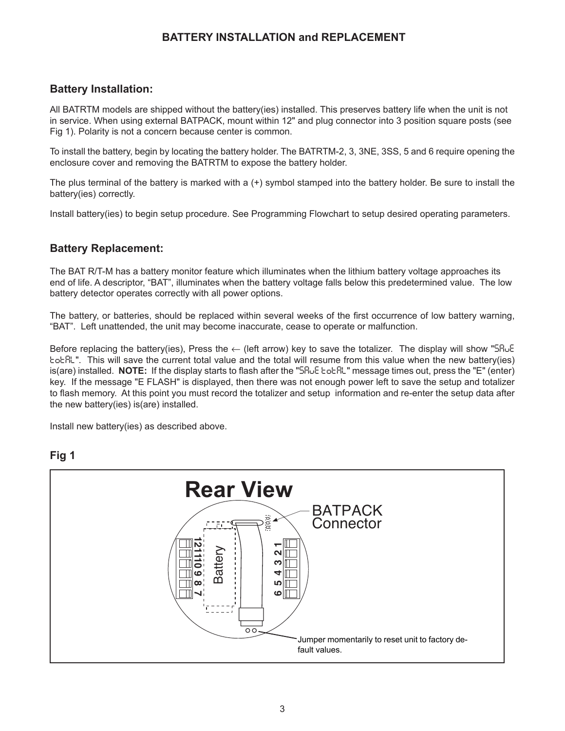## **BATTERY INSTALLATION and REPLACEMENT**

## **Battery Installation:**

All BATRTM models are shipped without the battery(ies) installed. This preserves battery life when the unit is not in service. When using external BATPACK, mount within 12" and plug connector into 3 position square posts (see Fig 1). Polarity is not a concern because center is common.

To install the battery, begin by locating the battery holder. The BATRTM-2, 3, 3NE, 3SS, 5 and 6 require opening the enclosure cover and removing the BATRTM to expose the battery holder.

The plus terminal of the battery is marked with a (+) symbol stamped into the battery holder. Be sure to install the battery(ies) correctly.

Install battery(ies) to begin setup procedure. See Programming Flowchart to setup desired operating parameters.

## **Battery Replacement:**

The BAT R/T-M has a battery monitor feature which illuminates when the lithium battery voltage approaches its end of life. A descriptor, "BAT", illuminates when the battery voltage falls below this predetermined value. The low battery detector operates correctly with all power options.

The battery, or batteries, should be replaced within several weeks of the first occurrence of low battery warning, "BAT". Left unattended, the unit may become inaccurate, cease to operate or malfunction.

Before replacing the battery(ies), Press the ← (left arrow) key to save the totalizer. The display will show "SRJE tot RL". This will save the current total value and the total will resume from this value when the new battery(ies) is(are) installed. **NOTE:** If the display starts to flash after the "5R<sub>vE</sub> tot RL" message times out, press the "E" (enter) key. If the message "E FLASH" is displayed, then there was not enough power left to save the setup and totalizer to flash memory. At this point you must record the totalizer and setup information and re-enter the setup data after the new battery(ies) is(are) installed.

Install new battery(ies) as described above.



## **Fig 1**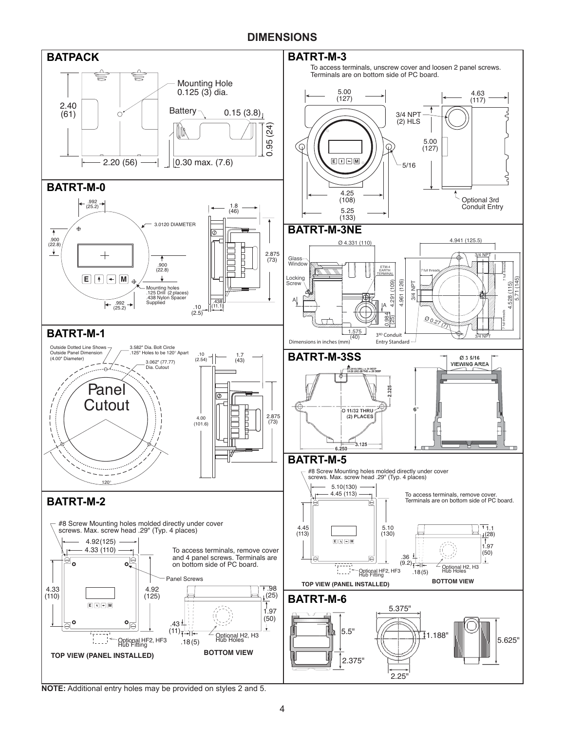## **DIMENSIONS**



**NOTE:** Additional entry holes may be provided on styles 2 and 5.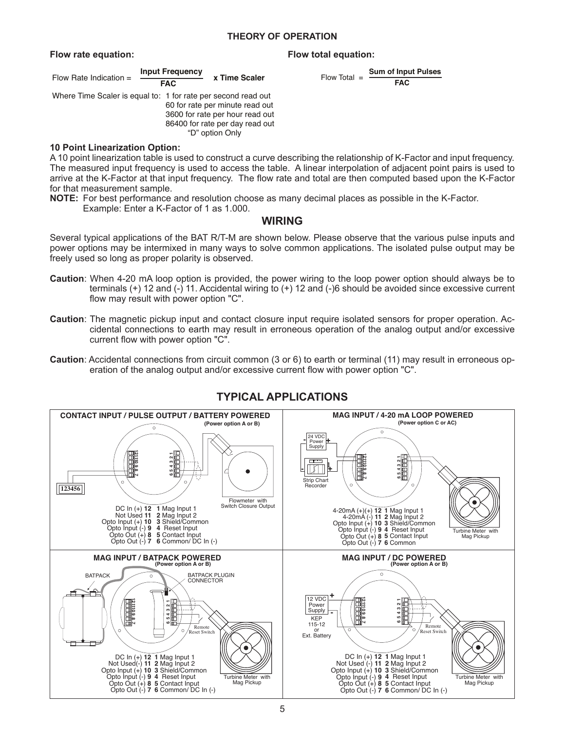#### **THEORY OF OPERATION**

#### **Flow rate equation: Flow total equation:**

#### Flow Rate Indication = **Input Frequency FAC x Time Scaler** Where Time Scaler is equal to: 1 for rate per second read out 60 for rate per minute read out 3600 for rate per hour read out

86400 for rate per day read out "D" option Only

#### **10 Point Linearization Option:**

A 10 point linearization table is used to construct a curve describing the relationship of K-Factor and input frequency. The measured input frequency is used to access the table. A linear interpolation of adjacent point pairs is used to arrive at the K-Factor at that input frequency. The flow rate and total are then computed based upon the K-Factor for that measurement sample.

- **NOTE:** For best performance and resolution choose as many decimal places as possible in the K-Factor.
	- Example: Enter a K-Factor of 1 as 1.000.

### **WIRING**

Several typical applications of the BAT R/T-M are shown below. Please observe that the various pulse inputs and power options may be intermixed in many ways to solve common applications. The isolated pulse output may be freely used so long as proper polarity is observed.

- **Caution**: When 4-20 mA loop option is provided, the power wiring to the loop power option should always be to terminals (+) 12 and (-) 11. Accidental wiring to (+) 12 and (-)6 should be avoided since excessive current flow may result with power option "C".
- **Caution**: The magnetic pickup input and contact closure input require isolated sensors for proper operation. Accidental connections to earth may result in erroneous operation of the analog output and/or excessive current flow with power option "C".
- **Caution**: Accidental connections from circuit common (3 or 6) to earth or terminal (11) may result in erroneous operation of the analog output and/or excessive current flow with power option "C".



## **TYPICAL APPLICATIONS**

```
Flow Total = Sum of Input Pulses
       FAC
```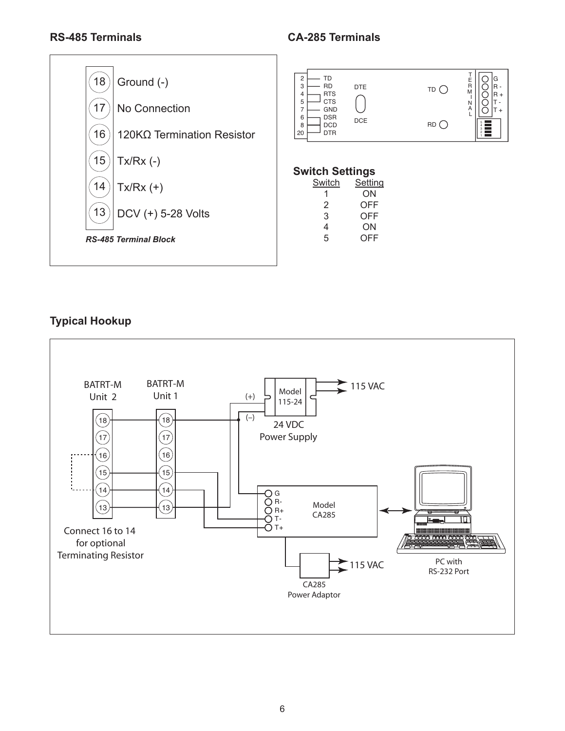

## **Typical Hookup**



## **RS-485 Terminals CA-285 Terminals**

T E R M I N A L

 $\overline{\phantom{a}}$ 

G R - R + T - T +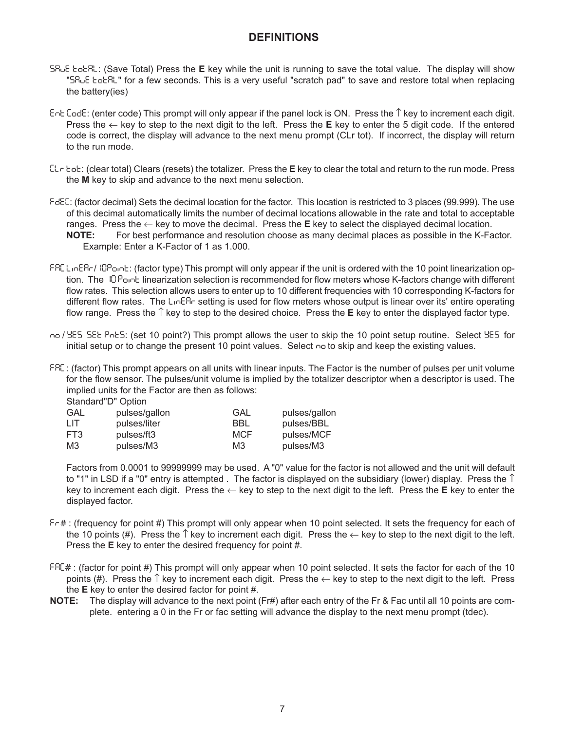## **DEFINITIONS**

- Save Total: (Save Total) Press the **E** key while the unit is running to save the total value. The display will show "SR<sub>U</sub>E tot RL" for a few seconds. This is a very useful "scratch pad" to save and restore total when replacing the battery(ies)
- ent Code: (enter code) This prompt will only appear if the panel lock is ON. Press the ↑ key to increment each digit. Press the ← key to step to the next digit to the left. Press the **E** key to enter the 5 digit code. If the entered code is correct, the display will advance to the next menu prompt (CLr tot). If incorrect, the display will return to the run mode.
- Clr tot: (clear total) Clears (resets) the totalizer. Press the **E** key to clear the total and return to the run mode. Press the **M** key to skip and advance to the next menu selection.
- FdEC: (factor decimal) Sets the decimal location for the factor. This location is restricted to 3 places (99.999). The use of this decimal automatically limits the number of decimal locations allowable in the rate and total to acceptable ranges. Press the  $\leftarrow$  key to move the decimal. Press the **E** key to select the displayed decimal location. **NOTE:** For best performance and resolution choose as many decimal places as possible in the K-Factor.
	- Example: Enter a K-Factor of 1 as 1.000.
- FRE LinERr/IDPoint: (factor type) This prompt will only appear if the unit is ordered with the 10 point linearization option. The 10 Point linearization selection is recommended for flow meters whose K-factors change with different flow rates. This selection allows users to enter up to 10 different frequencies with 10 corresponding K-factors for different flow rates. The L<sub>ID</sub>ER<sub>C</sub> setting is used for flow meters whose output is linear over its' entire operating flow range. Press the ↑ key to step to the desired choice. Press the **E** key to enter the displayed factor type.
- no / YES SEE PnES: (set 10 point?) This prompt allows the user to skip the 10 point setup routine. Select YES for initial setup or to change the present 10 point values. Select  $\sim$  to skip and keep the existing values.
- faC : (factor) This prompt appears on all units with linear inputs. The Factor is the number of pulses per unit volume for the flow sensor. The pulses/unit volume is implied by the totalizer descriptor when a descriptor is used. The implied units for the Factor are then as follows:

Standard"D" Option

| GAL | pulses/gallon | GAL        | pulses/gallon |
|-----|---------------|------------|---------------|
| LIТ | pulses/liter  | BBL        | pulses/BBL    |
| FT3 | pulses/ft3    | <b>MCF</b> | pulses/MCF    |
| M3  | pulses/M3     | M3         | pulses/M3     |

Factors from 0.0001 to 99999999 may be used. A "0" value for the factor is not allowed and the unit will default to "1" in LSD if a "0" entry is attempted . The factor is displayed on the subsidiary (lower) display. Press the  $\uparrow$ key to increment each digit. Press the ← key to step to the next digit to the left. Press the **E** key to enter the displayed factor.

- fr# : (frequency for point #) This prompt will only appear when 10 point selected. It sets the frequency for each of the 10 points (#). Press the  $\uparrow$  key to increment each digit. Press the  $\leftarrow$  key to step to the next digit to the left. Press the **E** key to enter the desired frequency for point #.
- FRC#: (factor for point #) This prompt will only appear when 10 point selected. It sets the factor for each of the 10 points (#). Press the  $\uparrow$  key to increment each digit. Press the  $\leftarrow$  key to step to the next digit to the left. Press the **E** key to enter the desired factor for point #.
- **NOTE:** The display will advance to the next point (Fr#) after each entry of the Fr & Fac until all 10 points are complete. entering a 0 in the Fr or fac setting will advance the display to the next menu prompt (tdec).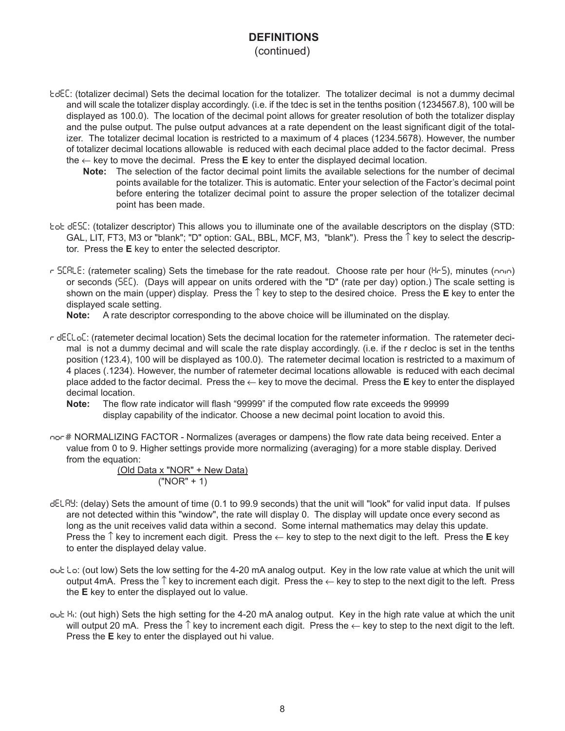## **DEFINITIONS**

(continued)

- tdeC: (totalizer decimal) Sets the decimal location for the totalizer. The totalizer decimal is not a dummy decimal and will scale the totalizer display accordingly. (i.e. if the tdec is set in the tenths position (1234567.8), 100 will be displayed as 100.0). The location of the decimal point allows for greater resolution of both the totalizer display and the pulse output. The pulse output advances at a rate dependent on the least significant digit of the totalizer. The totalizer decimal location is restricted to a maximum of 4 places (1234.5678). However, the number of totalizer decimal locations allowable is reduced with each decimal place added to the factor decimal. Press the  $\leftarrow$  key to move the decimal. Press the **E** key to enter the displayed decimal location.
	- **Note:** The selection of the factor decimal point limits the available selections for the number of decimal points available for the totalizer. This is automatic. Enter your selection of the Factor's decimal point before entering the totalizer decimal point to assure the proper selection of the totalizer decimal point has been made.
- tot desC: (totalizer descriptor) This allows you to illuminate one of the available descriptors on the display (STD: GAL, LIT, FT3, M3 or "blank"; "D" option: GAL, BBL, MCF, M3, "blank"). Press the  $\uparrow$  key to select the descriptor. Press the **E** key to enter the selected descriptor.
- r SCRLE: (ratemeter scaling) Sets the timebase for the rate readout. Choose rate per hour (Hr5), minutes (nnin) or seconds (seC). (Days will appear on units ordered with the "D" (rate per day) option.) The scale setting is shown on the main (upper) display. Press the ↑ key to step to the desired choice. Press the **E** key to enter the displayed scale setting.

**Note:** A rate descriptor corresponding to the above choice will be illuminated on the display.

- r deCloC: (ratemeter decimal location) Sets the decimal location for the ratemeter information. The ratemeter decimal is not a dummy decimal and will scale the rate display accordingly. (i.e. if the r decloc is set in the tenths position (123.4), 100 will be displayed as 100.0). The ratemeter decimal location is restricted to a maximum of 4 places (.1234). However, the number of ratemeter decimal locations allowable is reduced with each decimal place added to the factor decimal. Press the ← key to move the decimal. Press the **E** key to enter the displayed decimal location.
	- **Note:** The flow rate indicator will flash "99999" if the computed flow rate exceeds the 99999 display capability of the indicator. Choose a new decimal point location to avoid this.
- nor # NORMALIZING FACTOR Normalizes (averages or dampens) the flow rate data being received. Enter a value from 0 to 9. Higher settings provide more normalizing (averaging) for a more stable display. Derived from the equation:

(Old Data x "NOR" + New Data) ("NOR" + 1)

- delay: (delay) Sets the amount of time (0.1 to 99.9 seconds) that the unit will "look" for valid input data. If pulses are not detected within this "window", the rate will display 0. The display will update once every second as long as the unit receives valid data within a second. Some internal mathematics may delay this update. Press the ↑ key to increment each digit. Press the ← key to step to the next digit to the left. Press the **E** key to enter the displayed delay value.
- out Lo: (out low) Sets the low setting for the 4-20 mA analog output. Key in the low rate value at which the unit will output 4mA. Press the  $\uparrow$  key to increment each digit. Press the  $\leftarrow$  key to step to the next digit to the left. Press the **E** key to enter the displayed out lo value.
- out H<sub>i</sub>: (out high) Sets the high setting for the 4-20 mA analog output. Key in the high rate value at which the unit will output 20 mA. Press the  $\uparrow$  key to increment each digit. Press the  $\leftarrow$  key to step to the next digit to the left. Press the **E** key to enter the displayed out hi value.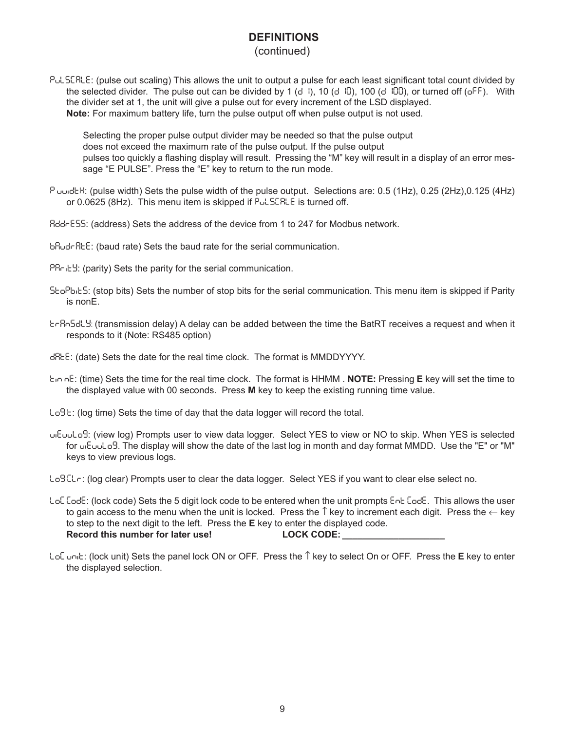## **DEFINITIONS**

## (continued)

Pul SERLE: (pulse out scaling) This allows the unit to output a pulse for each least significant total count divided by the selected divider. The pulse out can be divided by 1 (d 1), 10 (d  $10$ ), 100 (d  $100$ ), or turned off (oFF). With the divider set at 1, the unit will give a pulse out for every increment of the LSD displayed. **Note:** For maximum battery life, turn the pulse output off when pulse output is not used.

Selecting the proper pulse output divider may be needed so that the pulse output does not exceed the maximum rate of the pulse output. If the pulse output pulses too quickly a flashing display will result. Pressing the "M" key will result in a display of an error message "E PULSE". Press the "E" key to return to the run mode.

- P uuideh: (pulse width) Sets the pulse width of the pulse output. Selections are: 0.5 (1Hz), 0.25 (2Hz),0.125 (4Hz) or  $0.0625$  (8Hz). This menu item is skipped if  $P_U L$  SERLE is turned off.
- AddrESS: (address) Sets the address of the device from 1 to 247 for Modbus network.
- bAudrAtE: (baud rate) Sets the baud rate for the serial communication.
- PRrity: (parity) Sets the parity for the serial communication.
- StoPbitS: (stop bits) Sets the number of stop bits for the serial communication. This menu item is skipped if Parity is nonE.
- trAnSdly: (transmission delay) A delay can be added between the time the BatRT receives a request and when it responds to it (Note: RS485 option)
- dAtE: (date) Sets the date for the real time clock. The format is MMDDYYYY.
- timE: (time) Sets the time for the real time clock. The format is HHMM . **NOTE:** Pressing **E** key will set the time to the displayed value with 00 seconds. Press **M** key to keep the existing running time value.
- $LoB$   $E:$  (log time) Sets the time of day that the data logger will record the total.
- ViEuuLog: (view log) Prompts user to view data logger. Select YES to view or NO to skip. When YES is selected for  $mE$ uuLog. The display will show the date of the last log in month and day format MMDD. Use the "E" or "M" keys to view previous logs.
- Log CL<sub>r</sub>: (log clear) Prompts user to clear the data logger. Select YES if you want to clear else select no.
- LoC Code: (lock code) Sets the 5 digit lock code to be entered when the unit prompts Ent Code. This allows the user to gain access to the menu when the unit is locked. Press the  $\hat{\uparrow}$  key to increment each digit. Press the  $\leftarrow$  key to step to the next digit to the left. Press the **E** key to enter the displayed code. **Record this number for later use! LOCK CODE: \_\_\_\_\_\_\_\_\_\_\_\_\_\_\_\_\_\_\_\_**
- loC UnIt: (lock unit) Sets the panel lock ON or OFF. Press the ↑ key to select On or OFF. Press the **E** key to enter the displayed selection.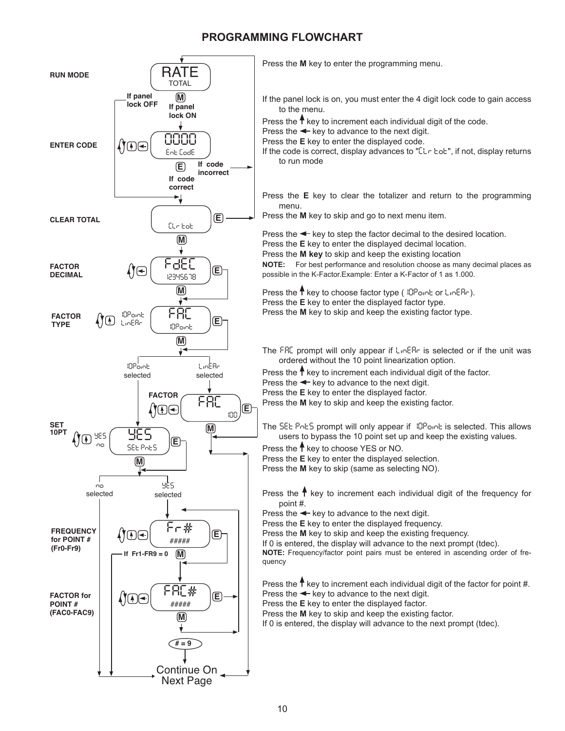## **PROGRAMMING FLOWCHART**



Press the **M** key to enter the programming menu.

- If the panel lock is on, you must enter the 4 digit lock code to gain access to the menu.
- Press the  $\uparrow$  key to increment each individual digit of the code.
- Press the  $\leftarrow$  key to advance to the next digit.
- Press the **E** key to enter the displayed code.
- If the code is correct, display advances to "[Le bob], if not, display returns to run mode
- Press the **E** key to clear the totalizer and return to the programming menu.
- Press the **M** key to skip and go to next menu item.

Press the  $\triangleleft$  key to step the factor decimal to the desired location. Press the **E** key to enter the displayed decimal location. Press the **M key** to skip and keep the existing location

**NOTE:** For best performance and resolution choose as many decimal places as

possible in the K-Factor.Example: Enter a K-Factor of 1 as 1.000.

- Press the  $\uparrow$  key to choose factor type ( $10P$ oint or Line Re). Press the **E** key to enter the displayed factor type.
- Press the **M** key to skip and keep the existing factor type.
- The FRC prompt will only appear if  $L_1 \cap ER$  is selected or if the unit was ordered without the 10 point linearization option.
- Press the  $\uparrow$  key to increment each individual digit of the factor.

Press the  $\leftarrow$  key to advance to the next digit.

Press the **E** key to enter the displayed factor.

Press the **M** key to skip and keep the existing factor.

The SEE PoES prompt will only appear if 10Point is selected. This allows users to bypass the 10 point set up and keep the existing values.

Press the  $\uparrow$  key to choose YES or NO.

Press the **E** key to enter the displayed selection.

Press the **M** key to skip (same as selecting NO).

Press the  $\uparrow$  key to increment each individual digit of the frequency for point #.

Press the  $\blacktriangleleft$  key to advance to the next digit.

Press the **E** key to enter the displayed frequency.

Press the **M** key to skip and keep the existing frequency.

If 0 is entered, the display will advance to the next prompt (tdec).

**NOTE:** Frequency/factor point pairs must be entered in ascending order of frequency

Press the  $\uparrow$  key to increment each individual digit of the factor for point #. Press the  $\leftarrow$  key to advance to the next digit.

Press the **E** key to enter the displayed factor.

Press the **M** key to skip and keep the existing factor.

If 0 is entered, the display will advance to the next prompt (tdec).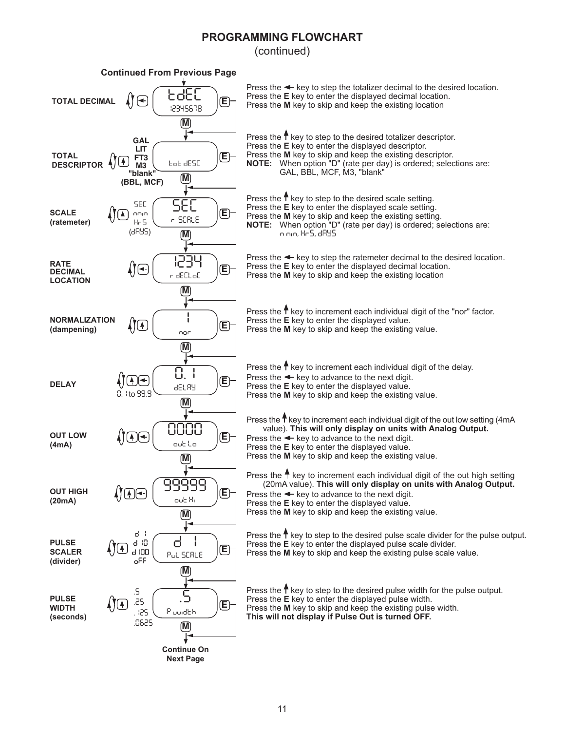## **PROGRAMMING FLOWCHART**

(continued)

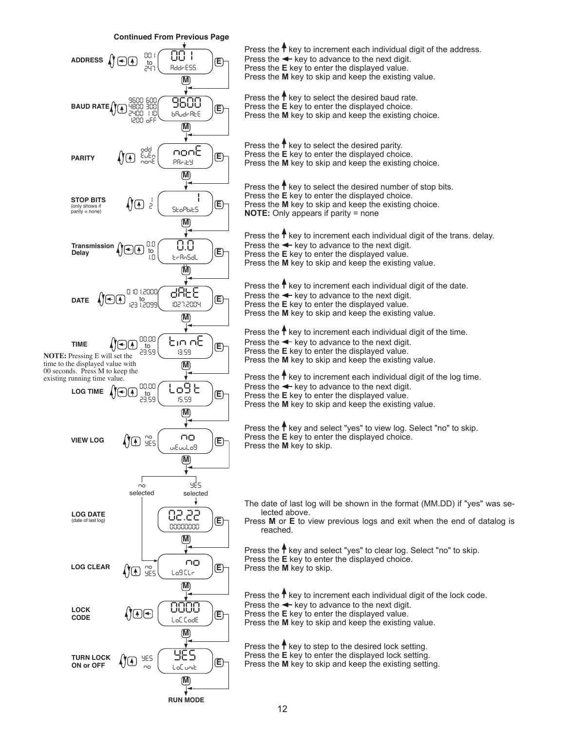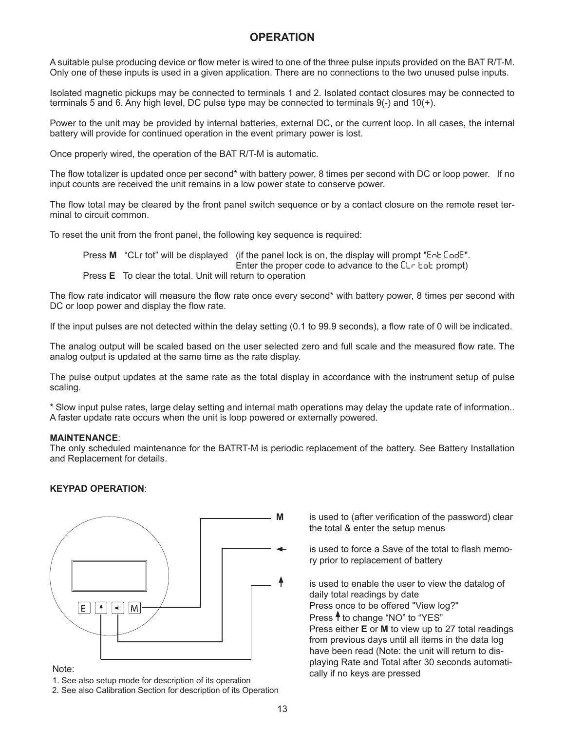## **OPERATION**

A suitable pulse producing device or flow meter is wired to one of the three pulse inputs provided on the BAT R/T-M. Only one of these inputs is used in a given application. There are no connections to the two unused pulse inputs.

Isolated magnetic pickups may be connected to terminals 1 and 2. Isolated contact closures may be connected to terminals 5 and 6. Any high level, DC pulse type may be connected to terminals 9(-) and 10(+).

Power to the unit may be provided by internal batteries, external DC, or the current loop. In all cases, the internal battery will provide for continued operation in the event primary power is lost.

Once properly wired, the operation of the BAT R/T-M is automatic.

The flow totalizer is updated once per second\* with battery power, 8 times per second with DC or loop power. If no input counts are received the unit remains in a low power state to conserve power.

The flow total may be cleared by the front panel switch sequence or by a contact closure on the remote reset terminal to circuit common.

To reset the unit from the front panel, the following key sequence is required:

Press **M** "CLr tot" will be displayed (if the panel lock is on, the display will prompt "Ent Code". Enter the proper code to advance to the  $[\lfloor r \rfloor]$  to prompt) Press **E** To clear the total. Unit will return to operation

The flow rate indicator will measure the flow rate once every second\* with battery power, 8 times per second with DC or loop power and display the flow rate.

If the input pulses are not detected within the delay setting (0.1 to 99.9 seconds), a flow rate of 0 will be indicated.

The analog output will be scaled based on the user selected zero and full scale and the measured flow rate. The analog output is updated at the same time as the rate display.

The pulse output updates at the same rate as the total display in accordance with the instrument setup of pulse scaling.

\* Slow input pulse rates, large delay setting and internal math operations may delay the update rate of information.. A faster update rate occurs when the unit is loop powered or externally powered.

#### **MAINTENANCE**:

The only scheduled maintenance for the BATRT-M is periodic replacement of the battery. See Battery Installation and Replacement for details.

#### **KEYPAD OPERATION**:



1. See also setup mode for description of its operation

2. See also Calibration Section for description of its Operation

**M** is used to (after verification of the password) clear the total & enter the setup menus

> is used to force a Save of the total to flash memory prior to replacement of battery

is used to enable the user to view the datalog of daily total readings by date Press once to be offered "View log?" Press  $\uparrow$  to change "NO" to "YES" Press either **E** or **M** to view up to 27 total readings from previous days until all items in the data log have been read (Note: the unit will return to displaying Rate and Total after 30 seconds automati-Note:<br>Note:<br>Cally if no keys are pressed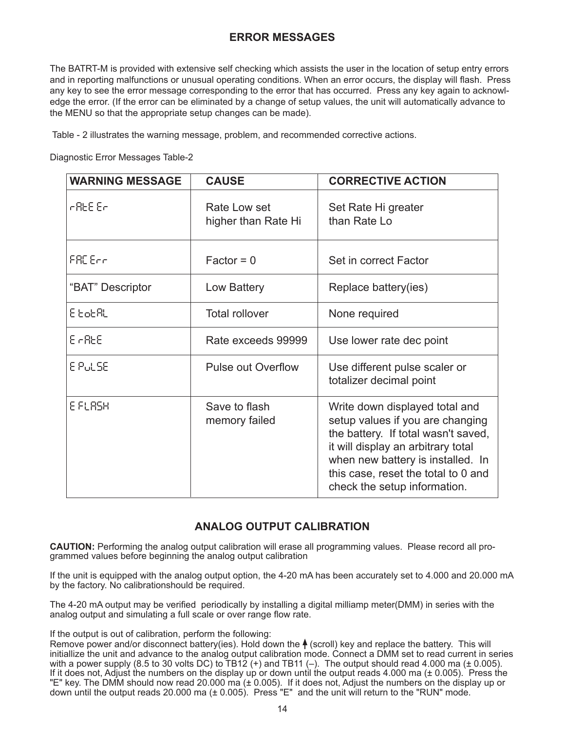## **ERROR MESSAGES**

The BATRT-M is provided with extensive self checking which assists the user in the location of setup entry errors and in reporting malfunctions or unusual operating conditions. When an error occurs, the display will flash. Press any key to see the error message corresponding to the error that has occurred. Press any key again to acknowledge the error. (If the error can be eliminated by a change of setup values, the unit will automatically advance to the MENU so that the appropriate setup changes can be made).

Table - 2 illustrates the warning message, problem, and recommended corrective actions.

Diagnostic Error Messages Table-2

| <b>WARNING MESSAGE</b> | <b>CAUSE</b>                        | <b>CORRECTIVE ACTION</b>                                                                                                                                                                                                                                    |
|------------------------|-------------------------------------|-------------------------------------------------------------------------------------------------------------------------------------------------------------------------------------------------------------------------------------------------------------|
| r REE Er               | Rate Low set<br>higher than Rate Hi | Set Rate Hi greater<br>than Rate Lo                                                                                                                                                                                                                         |
| FRE Enni               | $Factor = 0$                        | Set in correct Factor                                                                                                                                                                                                                                       |
| "BAT" Descriptor       | Low Battery                         | Replace battery(ies)                                                                                                                                                                                                                                        |
| 8 EoEAL                | <b>Total rollover</b>               | None required                                                                                                                                                                                                                                               |
| E AREE                 | Rate exceeds 99999                  | Use lower rate dec point                                                                                                                                                                                                                                    |
| E PULSE                | <b>Pulse out Overflow</b>           | Use different pulse scaler or<br>totalizer decimal point                                                                                                                                                                                                    |
| E FLASH                | Save to flash<br>memory failed      | Write down displayed total and<br>setup values if you are changing<br>the battery. If total wasn't saved,<br>it will display an arbitrary total<br>when new battery is installed. In<br>this case, reset the total to 0 and<br>check the setup information. |

## **ANALOG OUTPUT CALIBRATION**

**CAUTION:** Performing the analog output calibration will erase all programming values. Please record all programmed values before beginning the analog output calibration

If the unit is equipped with the analog output option, the 4-20 mA has been accurately set to 4.000 and 20.000 mA by the factory. No calibrationshould be required.

The 4-20 mA output may be verified periodically by installing a digital milliamp meter(DMM) in series with the analog output and simulating a full scale or over range flow rate.

If the output is out of calibration, perform the following:

Remove power and/or disconnect battery(ies). Hold down the  $\bigwedge$  (scroll) key and replace the battery. This will initiallize the unit and advance to the analog output calibration mode. Connect a DMM set to read current in series with a power supply (8.5 to 30 volts DC) to  $\text{TB12}$  (+) and TB11 (-). The output should read 4.000 ma ( $\pm$  0.005). If it does not, Adjust the numbers on the display up or down until the output reads 4.000 ma (± 0.005). Press the "E" key. The DMM should now read 20.000 ma (± 0.005). If it does not, Adjust the numbers on the display up or down until the output reads 20.000 ma (± 0.005). Press "E" and the unit will return to the "RUN" mode.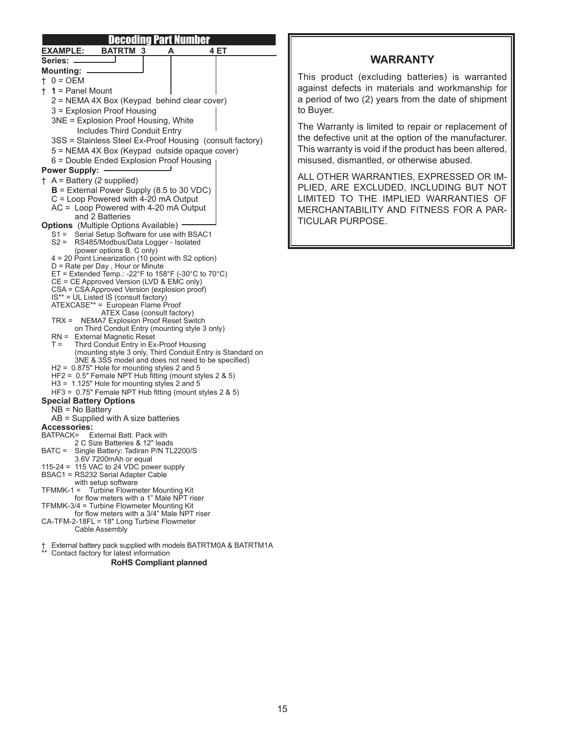| <u>Decoding Part Number</u>                                                                            |  |
|--------------------------------------------------------------------------------------------------------|--|
| <b>EXAMPLE:</b><br><b>BATRTM 3</b><br>4 ET                                                             |  |
| Series:                                                                                                |  |
| <b>Mounting:</b>                                                                                       |  |
| $+ 0 = OEM$                                                                                            |  |
| $+ 1$ = Panel Mount                                                                                    |  |
| 2 = NEMA 4X Box (Keypad behind clear cover)                                                            |  |
| 3 = Explosion Proof Housing                                                                            |  |
| 3NE = Explosion Proof Housing, White                                                                   |  |
| <b>Includes Third Conduit Entry</b>                                                                    |  |
| 3SS = Stainless Steel Ex-Proof Housing (consult factory)                                               |  |
| 5 = NEMA 4X Box (Keypad outside opaque cover)                                                          |  |
| 6 = Double Ended Explosion Proof Housing                                                               |  |
| <b>Power Supply:</b>                                                                                   |  |
| $+$ A = Battery (2 supplied)                                                                           |  |
| $B$ = External Power Supply (8.5 to 30 VDC)                                                            |  |
| $C =$ Loop Powered with 4-20 mA Output                                                                 |  |
| $AC = Loop Powered with 4-20 mA Output$                                                                |  |
| and 2 Batteries<br><b>Options</b> (Multiple Options Available) -                                       |  |
| S1 = Serial Setup Software for use with BSAC1                                                          |  |
| S2 = RS485/Modbus/Data Logger - Isolated                                                               |  |
| (power options B. C only)                                                                              |  |
| 4 = 20 Point Linearization (10 point with S2 option)                                                   |  |
| D = Rate per Day, Hour or Minute<br>ET = Extended Temp.: -22°F to 158°F (-30°C to 70°C)                |  |
| CE = CE Approved Version (LVD & EMC only)                                                              |  |
| CSA = CSA Approved Version (explosion proof)                                                           |  |
| IS** = UL Listed IS (consult factory)<br>ATEXCASE** = European Flame Proof                             |  |
| ATEX Case (consult factory)                                                                            |  |
| TRX = NEMA7 Explosion Proof Reset Switch                                                               |  |
| on Third Conduit Entry (mounting style 3 only)<br><b>External Magnetic Reset</b><br>RN =               |  |
| $T =$<br>Third Conduit Entry in Ex-Proof Housing                                                       |  |
| (mounting style 3 only, Third Conduit Entry is Standard on                                             |  |
| 3NE & 3SS model and does not need to be specified)                                                     |  |
| H2 = 0.875" Hole for mounting styles 2 and 5<br>HF2 = 0.5" Female NPT Hub fitting (mount styles 2 & 5) |  |
| H3 = 1.125" Hole for mounting styles 2 and 5                                                           |  |
| HF3 = $0.75$ " Female NPT Hub fitting (mount styles 2 & 5)                                             |  |
| <b>Special Battery Options</b>                                                                         |  |
| $NB = No$ Battery                                                                                      |  |
| $AB =$ Supplied with A size batteries<br><b>Accessories:</b>                                           |  |
| BATPACK= External Batt. Pack with                                                                      |  |
| 2 C Size Batteries & 12" leads                                                                         |  |
| Single Battery: Tadiran P/N TL2200/S<br>BATC =                                                         |  |
| 3.6V 7200mAh or equal<br>115-24 = 115 VAC to 24 VDC power supply                                       |  |
| BSAC1 = RS232 Serial Adapter Cable                                                                     |  |
| with setup software                                                                                    |  |
| $TFMMK-1 =$<br>Turbine Flowmeter Mounting Kit                                                          |  |
| for flow meters with a 1" Male NPT riser<br>TFMMK-3/4 = Turbine Flowmeter Mounting Kit                 |  |
| for flow meters with a 3/4" Male NPT riser                                                             |  |
| CA-TFM-2-18FL = 18" Long Turbine Flowmeter                                                             |  |
| Cable Assembly                                                                                         |  |

† External battery pack supplied with models BATRTM0A & BATRTM1A

\*\* Contact factory for latest information

#### **RoHS Compliant planned**

## **WARRANTY**

This product (excluding batteries) is warranted against defects in materials and workmanship for a period of two (2) years from the date of shipment to Buyer.

The Warranty is limited to repair or replacement of the defective unit at the option of the manufacturer. This warranty is void if the product has been altered, misused, dismantled, or otherwise abused.

ALL OTHER WARRANTIES, EXPRESSED OR IM-PLIED, ARE EXCLUDED, INCLUDING BUT NOT LIMITED TO THE IMPLIED WARRANTIES OF MERCHANTABILITY AND FITNESS FOR A PAR-TICULAR PURPOSE.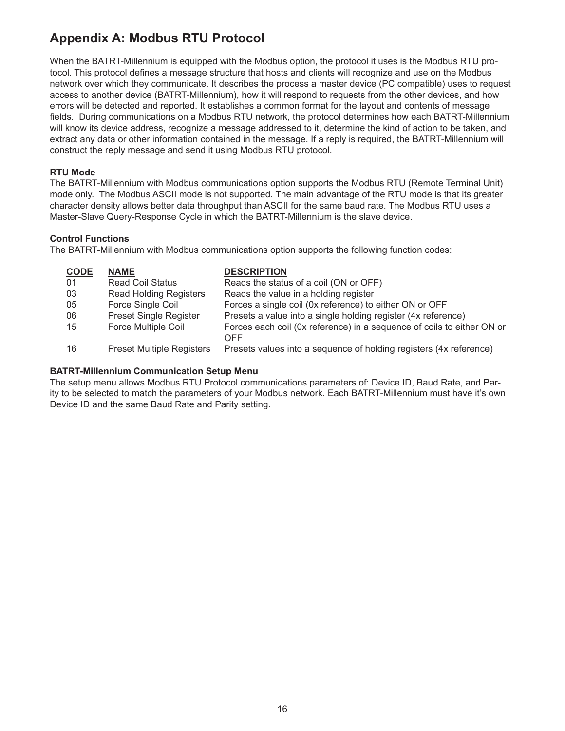## **Appendix A: Modbus RTU Protocol**

When the BATRT-Millennium is equipped with the Modbus option, the protocol it uses is the Modbus RTU protocol. This protocol defines a message structure that hosts and clients will recognize and use on the Modbus network over which they communicate. It describes the process a master device (PC compatible) uses to request access to another device (BATRT-Millennium), how it will respond to requests from the other devices, and how errors will be detected and reported. It establishes a common format for the layout and contents of message fields. During communications on a Modbus RTU network, the protocol determines how each BATRT-Millennium will know its device address, recognize a message addressed to it, determine the kind of action to be taken, and extract any data or other information contained in the message. If a reply is required, the BATRT-Millennium will construct the reply message and send it using Modbus RTU protocol.

#### **RTU Mode**

The BATRT-Millennium with Modbus communications option supports the Modbus RTU (Remote Terminal Unit) mode only. The Modbus ASCII mode is not supported. The main advantage of the RTU mode is that its greater character density allows better data throughput than ASCII for the same baud rate. The Modbus RTU uses a Master-Slave Query-Response Cycle in which the BATRT-Millennium is the slave device.

### **Control Functions**

The BATRT-Millennium with Modbus communications option supports the following function codes:

| <b>CODE</b> | <b>NAME</b>                      | <b>DESCRIPTION</b>                                                            |
|-------------|----------------------------------|-------------------------------------------------------------------------------|
| 01          | <b>Read Coil Status</b>          | Reads the status of a coil (ON or OFF)                                        |
| 03          | <b>Read Holding Registers</b>    | Reads the value in a holding register                                         |
| 05          | Force Single Coil                | Forces a single coil (0x reference) to either ON or OFF                       |
| 06          | <b>Preset Single Register</b>    | Presets a value into a single holding register (4x reference)                 |
| 15          | <b>Force Multiple Coil</b>       | Forces each coil (0x reference) in a sequence of coils to either ON or<br>OFF |
| 16          | <b>Preset Multiple Registers</b> | Presets values into a sequence of holding registers (4x reference)            |

#### **BATRT-Millennium Communication Setup Menu**

The setup menu allows Modbus RTU Protocol communications parameters of: Device ID, Baud Rate, and Parity to be selected to match the parameters of your Modbus network. Each BATRT-Millennium must have it's own Device ID and the same Baud Rate and Parity setting.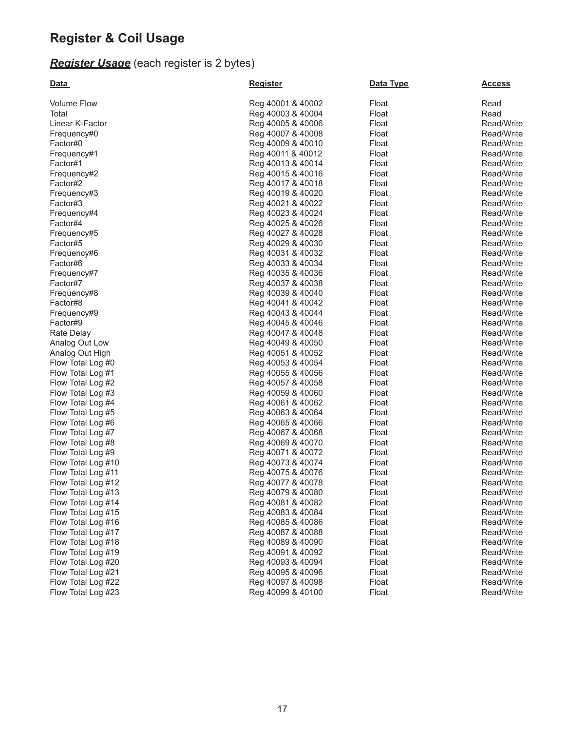## **Register & Coil Usage**

## *Register Usage* (each register is 2 bytes)

| <u>Data</u>        | <b>Register</b>   | Data Type | <u>Access</u> |
|--------------------|-------------------|-----------|---------------|
| <b>Volume Flow</b> | Reg 40001 & 40002 | Float     | Read          |
| Total              | Reg 40003 & 40004 | Float     | Read          |
| Linear K-Factor    | Reg 40005 & 40006 | Float     | Read/Write    |
| Frequency#0        | Reg 40007 & 40008 | Float     | Read/Write    |
| Factor#0           | Reg 40009 & 40010 | Float     | Read/Write    |
| Frequency#1        | Reg 40011 & 40012 | Float     | Read/Write    |
| Factor#1           | Reg 40013 & 40014 | Float     | Read/Write    |
| Frequency#2        | Reg 40015 & 40016 | Float     | Read/Write    |
| Factor#2           | Reg 40017 & 40018 | Float     | Read/Write    |
| Frequency#3        | Reg 40019 & 40020 | Float     | Read/Write    |
| Factor#3           | Reg 40021 & 40022 | Float     | Read/Write    |
| Frequency#4        | Reg 40023 & 40024 | Float     | Read/Write    |
| Factor#4           | Reg 40025 & 40026 | Float     | Read/Write    |
| Frequency#5        | Reg 40027 & 40028 | Float     | Read/Write    |
| Factor#5           | Reg 40029 & 40030 | Float     | Read/Write    |
| Frequency#6        | Reg 40031 & 40032 | Float     | Read/Write    |
| Factor#6           | Reg 40033 & 40034 | Float     | Read/Write    |
| Frequency#7        | Reg 40035 & 40036 | Float     | Read/Write    |
| Factor#7           | Reg 40037 & 40038 | Float     | Read/Write    |
| Frequency#8        | Reg 40039 & 40040 | Float     | Read/Write    |
| Factor#8           | Reg 40041 & 40042 | Float     | Read/Write    |
| Frequency#9        | Reg 40043 & 40044 | Float     | Read/Write    |
| Factor#9           | Reg 40045 & 40046 | Float     | Read/Write    |
| Rate Delay         | Reg 40047 & 40048 | Float     | Read/Write    |
| Analog Out Low     | Reg 40049 & 40050 | Float     | Read/Write    |
| Analog Out High    | Reg 40051 & 40052 | Float     | Read/Write    |
| Flow Total Log #0  | Reg 40053 & 40054 | Float     | Read/Write    |
| Flow Total Log #1  | Reg 40055 & 40056 | Float     | Read/Write    |
| Flow Total Log #2  | Reg 40057 & 40058 | Float     | Read/Write    |
| Flow Total Log #3  | Reg 40059 & 40060 | Float     | Read/Write    |
| Flow Total Log #4  | Reg 40061 & 40062 | Float     | Read/Write    |
| Flow Total Log #5  | Reg 40063 & 40064 | Float     | Read/Write    |
| Flow Total Log #6  | Reg 40065 & 40066 | Float     | Read/Write    |
| Flow Total Log #7  | Reg 40067 & 40068 | Float     | Read/Write    |
| Flow Total Log #8  | Reg 40069 & 40070 | Float     | Read/Write    |
| Flow Total Log #9  | Reg 40071 & 40072 | Float     | Read/Write    |
| Flow Total Log #10 | Reg 40073 & 40074 | Float     | Read/Write    |
| Flow Total Log #11 | Reg 40075 & 40076 | Float     | Read/Write    |
| Flow Total Log #12 | Reg 40077 & 40078 | Float     | Read/Write    |
| Flow Total Log #13 | Reg 40079 & 40080 | Float     | Read/Write    |
| Flow Total Log #14 | Reg 40081 & 40082 | Float     | Read/Write    |
| Flow Total Log #15 | Reg 40083 & 40084 | Float     | Read/Write    |
| Flow Total Log #16 | Reg 40085 & 40086 | Float     | Read/Write    |
| Flow Total Log #17 | Reg 40087 & 40088 | Float     | Read/Write    |
| Flow Total Log #18 | Reg 40089 & 40090 | Float     | Read/Write    |
| Flow Total Log #19 | Reg 40091 & 40092 | Float     | Read/Write    |
| Flow Total Log #20 | Reg 40093 & 40094 | Float     | Read/Write    |
| Flow Total Log #21 | Reg 40095 & 40096 | Float     | Read/Write    |
| Flow Total Log #22 | Reg 40097 & 40098 | Float     | Read/Write    |
| Flow Total Log #23 | Reg 40099 & 40100 | Float     | Read/Write    |
|                    |                   |           |               |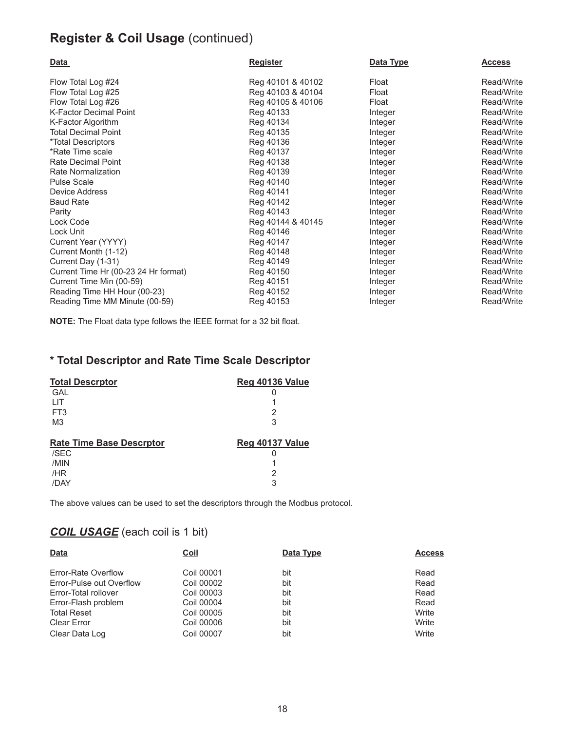## **Register & Coil Usage** (continued)

| Data                                 | <b>Register</b>   | Data Type | <u>Access</u> |
|--------------------------------------|-------------------|-----------|---------------|
| Flow Total Log #24                   | Reg 40101 & 40102 | Float     | Read/Write    |
| Flow Total Log #25                   | Reg 40103 & 40104 | Float     | Read/Write    |
| Flow Total Log #26                   | Reg 40105 & 40106 | Float     | Read/Write    |
| <b>K-Factor Decimal Point</b>        | Reg 40133         | Integer   | Read/Write    |
| K-Factor Algorithm                   | Reg 40134         | Integer   | Read/Write    |
| <b>Total Decimal Point</b>           | Reg 40135         | Integer   | Read/Write    |
| *Total Descriptors                   | Reg 40136         | Integer   | Read/Write    |
| *Rate Time scale                     | Reg 40137         | Integer   | Read/Write    |
| Rate Decimal Point                   | Reg 40138         | Integer   | Read/Write    |
| Rate Normalization                   | Reg 40139         | Integer   | Read/Write    |
| <b>Pulse Scale</b>                   | Reg 40140         | Integer   | Read/Write    |
| Device Address                       | Reg 40141         | Integer   | Read/Write    |
| <b>Baud Rate</b>                     | Reg 40142         | Integer   | Read/Write    |
| Parity                               | Reg 40143         | Integer   | Read/Write    |
| Lock Code                            | Reg 40144 & 40145 | Integer   | Read/Write    |
| Lock Unit                            | Reg 40146         | Integer   | Read/Write    |
| Current Year (YYYY)                  | Reg 40147         | Integer   | Read/Write    |
| Current Month (1-12)                 | Reg 40148         | Integer   | Read/Write    |
| Current Day (1-31)                   | Reg 40149         | Integer   | Read/Write    |
| Current Time Hr (00-23 24 Hr format) | Reg 40150         | Integer   | Read/Write    |
| Current Time Min (00-59)             | Reg 40151         | Integer   | Read/Write    |
| Reading Time HH Hour (00-23)         | Reg 40152         | Integer   | Read/Write    |
| Reading Time MM Minute (00-59)       | Reg 40153         | Integer   | Read/Write    |

**NOTE:** The Float data type follows the IEEE format for a 32 bit float.

## **\* Total Descriptor and Rate Time Scale Descriptor**

| <b>Total Descrptor</b>          | <b>Reg 40136 Value</b> |
|---------------------------------|------------------------|
| GAL                             |                        |
| HТ                              |                        |
| FT <sub>3</sub>                 | 2                      |
| M <sub>3</sub>                  | 3                      |
|                                 |                        |
|                                 |                        |
| <b>Rate Time Base Descrptor</b> | Reg 40137 Value        |
| /SEC                            |                        |
| /MIN                            |                        |
| /HR                             | 2                      |

The above values can be used to set the descriptors through the Modbus protocol.

## *COIL USAGE* (each coil is 1 bit)

| <b>Data</b>              | <b>Coil</b>       | Data Type | <b>Access</b> |
|--------------------------|-------------------|-----------|---------------|
|                          |                   |           |               |
| Error-Rate Overflow      | Coil 00001        | bit       | Read          |
| Error-Pulse out Overflow | Coil 00002        | bit       | Read          |
| Error-Total rollover     | Coil 00003        | bit       | Read          |
| Error-Flash problem      | Coil 00004        | bit       | Read          |
| <b>Total Reset</b>       | Coil 00005        | bit       | Write         |
| <b>Clear Error</b>       | Coil 00006        | bit       | Write         |
| Clear Data Log           | <b>Coil 00007</b> | bit       | Write         |